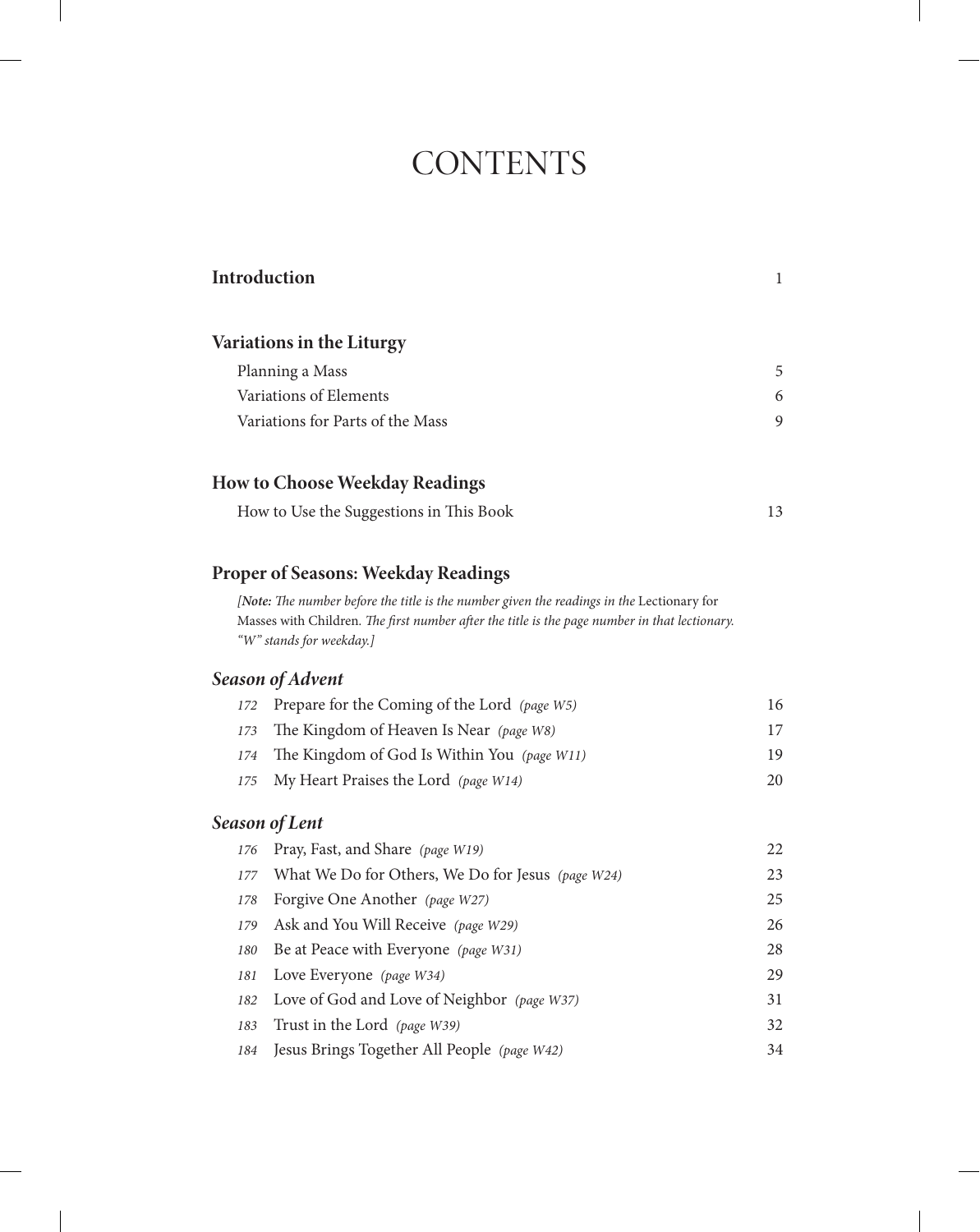# **CONTENTS**

|     | Introduction                                                                                                                                                                                                           | $\mathbf{1}$ |
|-----|------------------------------------------------------------------------------------------------------------------------------------------------------------------------------------------------------------------------|--------------|
|     | <b>Variations in the Liturgy</b>                                                                                                                                                                                       |              |
|     | Planning a Mass                                                                                                                                                                                                        | 5            |
|     | Variations of Elements                                                                                                                                                                                                 | 6            |
|     | Variations for Parts of the Mass                                                                                                                                                                                       | 9            |
|     | <b>How to Choose Weekday Readings</b>                                                                                                                                                                                  |              |
|     | How to Use the Suggestions in This Book                                                                                                                                                                                | 13           |
|     | <b>Proper of Seasons: Weekday Readings</b>                                                                                                                                                                             |              |
|     | [Note: The number before the title is the number given the readings in the Lectionary for<br>Masses with Children. The first number after the title is the page number in that lectionary.<br>"W" stands for weekday.] |              |
|     | Season of Advent                                                                                                                                                                                                       |              |
| 172 | Prepare for the Coming of the Lord (page W5)                                                                                                                                                                           | 16           |
| 173 | The Kingdom of Heaven Is Near (page W8)                                                                                                                                                                                | 17           |
| 174 | The Kingdom of God Is Within You (page W11)                                                                                                                                                                            | 19           |
| 175 | My Heart Praises the Lord (page W14)                                                                                                                                                                                   | 20           |
|     | <b>Season of Lent</b>                                                                                                                                                                                                  |              |
| 176 | Pray, Fast, and Share (page W19)                                                                                                                                                                                       | 22           |
| 177 | What We Do for Others, We Do for Jesus (page W24)                                                                                                                                                                      | 23           |
| 178 | Forgive One Another (page W27)                                                                                                                                                                                         | 25           |
| 179 | Ask and You Will Receive (page W29)                                                                                                                                                                                    | 26           |
| 180 | Be at Peace with Everyone (page W31)                                                                                                                                                                                   | 28           |
| 181 | Love Everyone (page W34)                                                                                                                                                                                               | 29           |
| 182 | Love of God and Love of Neighbor (page W37)                                                                                                                                                                            | 31           |
| 183 | Trust in the Lord (page W39)                                                                                                                                                                                           | 32           |
| 184 | Jesus Brings Together All People (page W42)                                                                                                                                                                            | 34           |
|     |                                                                                                                                                                                                                        |              |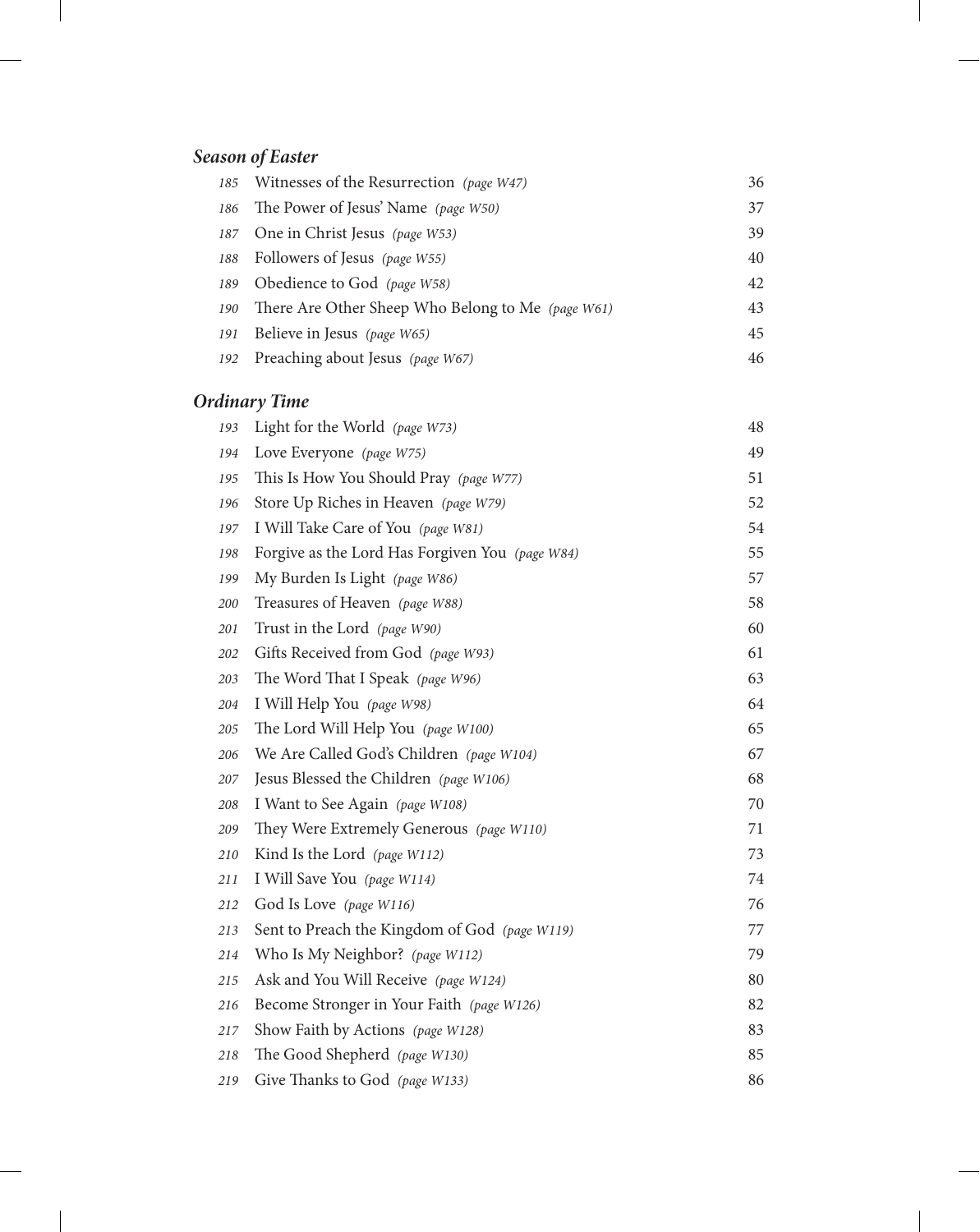# *Season of Easter*

|     | 185 Witnesses of the Resurrection (page W47)      | 36 |
|-----|---------------------------------------------------|----|
| 186 | The Power of Jesus' Name (page W50)               | 37 |
|     | 187 One in Christ Jesus (page W53)                | 39 |
| 188 | Followers of Jesus (page W55)                     | 40 |
| 189 | Obedience to God (page W58)                       | 42 |
| 190 | There Are Other Sheep Who Belong to Me (page W61) | 43 |
| 191 | Believe in Jesus (page W65)                       | 45 |
| 192 | Preaching about Jesus (page W67)                  | 46 |

### *Ordinary Time*

| 193 | Light for the World (page W73)                  | 48 |
|-----|-------------------------------------------------|----|
| 194 | Love Everyone (page W75)                        | 49 |
| 195 | This Is How You Should Pray (page W77)          | 51 |
| 196 | Store Up Riches in Heaven (page W79)            | 52 |
| 197 | I Will Take Care of You (page W81)              | 54 |
| 198 | Forgive as the Lord Has Forgiven You (page W84) | 55 |
| 199 | My Burden Is Light (page W86)                   | 57 |
| 200 | Treasures of Heaven (page W88)                  | 58 |
| 201 | Trust in the Lord (page W90)                    | 60 |
| 202 | Gifts Received from God (page W93)              | 61 |
| 203 | The Word That I Speak (page W96)                | 63 |
| 204 | I Will Help You (page W98)                      | 64 |
| 205 | The Lord Will Help You (page W100)              | 65 |
| 206 | We Are Called God's Children (page W104)        | 67 |
| 207 | Jesus Blessed the Children (page W106)          | 68 |
| 208 | I Want to See Again (page W108)                 | 70 |
| 209 | They Were Extremely Generous (page W110)        | 71 |
| 210 | Kind Is the Lord (page W112)                    | 73 |
| 211 | I Will Save You (page W114)                     | 74 |
| 212 | God Is Love (page W116)                         | 76 |
| 213 | Sent to Preach the Kingdom of God (page W119)   | 77 |
| 214 | Who Is My Neighbor? (page W112)                 | 79 |
| 215 | Ask and You Will Receive (page W124)            | 80 |
| 216 | Become Stronger in Your Faith (page W126)       | 82 |
| 217 | Show Faith by Actions (page W128)               | 83 |
| 218 | The Good Shepherd (page W130)                   | 85 |
| 219 | Give Thanks to God (page W133)                  | 86 |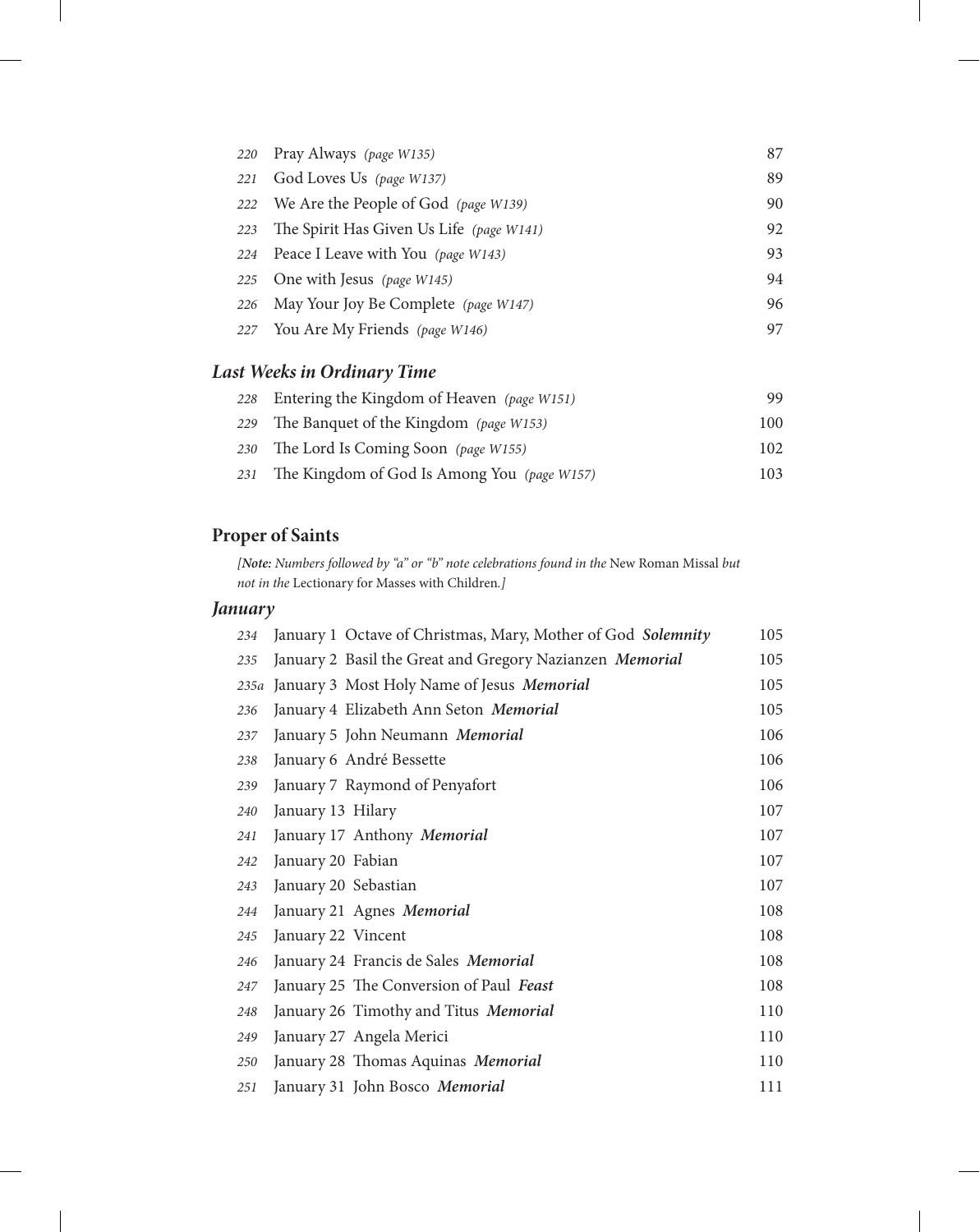|     | 220 Pray Always (page W135)              | 87 |
|-----|------------------------------------------|----|
| 221 | God Loves Us (page W137)                 | 89 |
|     | 222 We Are the People of God (page W139) | 90 |
| 223 | The Spirit Has Given Us Life (page W141) | 92 |
|     | 224 Peace I Leave with You (page W143)   | 93 |
|     | 225 One with Jesus (page W145)           | 94 |
|     | 226 May Your Joy Be Complete (page W147) | 96 |
|     | 227 You Are My Friends (page W146)       | 97 |
|     |                                          |    |

#### *Last Weeks in Ordinary Time*

| 228 Entering the Kingdom of Heaven (page W151)  | 99.  |
|-------------------------------------------------|------|
| 229 The Banquet of the Kingdom (page W153)      | 100- |
| 230 The Lord Is Coming Soon (page W155)         | 102. |
| 231 The Kingdom of God Is Among You (page W157) | 103. |

### **Proper of Saints**

*[Note: Numbers followed by "a" or "b" note celebrations found in the* New Roman Missal *but not in the* Lectionary for Masses with Children*.]*

#### *January*

| 234 | January 1 Octave of Christmas, Mary, Mother of God Solemnity | 105 |
|-----|--------------------------------------------------------------|-----|
| 235 | January 2 Basil the Great and Gregory Nazianzen Memorial     | 105 |
|     | 235a January 3 Most Holy Name of Jesus Memorial              | 105 |
| 236 | January 4 Elizabeth Ann Seton Memorial                       | 105 |
| 237 | January 5 John Neumann Memorial                              | 106 |
| 238 | January 6 André Bessette                                     | 106 |
| 239 | January 7 Raymond of Penyafort                               | 106 |
| 240 | January 13 Hilary                                            | 107 |
| 241 | January 17 Anthony Memorial                                  | 107 |
| 242 | January 20 Fabian                                            | 107 |
| 243 | January 20 Sebastian                                         | 107 |
| 244 | January 21 Agnes Memorial                                    | 108 |
| 245 | January 22 Vincent                                           | 108 |
| 246 | January 24 Francis de Sales Memorial                         | 108 |
| 247 | January 25 The Conversion of Paul Feast                      | 108 |
| 248 | January 26 Timothy and Titus Memorial                        | 110 |
| 249 | January 27 Angela Merici                                     | 110 |
| 250 | January 28 Thomas Aquinas Memorial                           | 110 |
| 251 | January 31 John Bosco Memorial                               | 111 |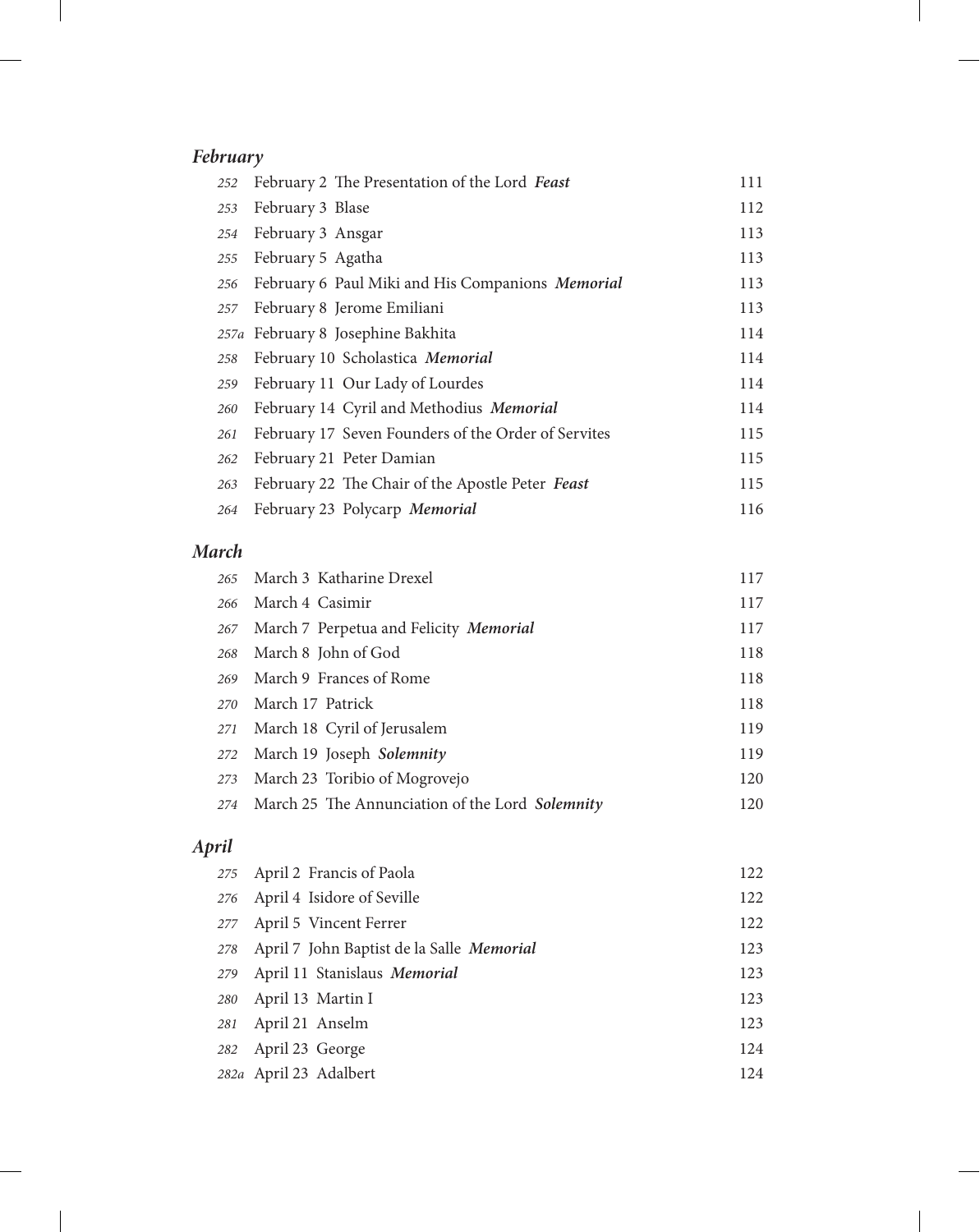# *February*

| 252 | February 2 The Presentation of the Lord Feast       | 111 |
|-----|-----------------------------------------------------|-----|
| 253 | February 3 Blase                                    | 112 |
| 254 | February 3 Ansgar                                   | 113 |
| 255 | February 5 Agatha                                   | 113 |
| 256 | February 6 Paul Miki and His Companions Memorial    | 113 |
| 257 | February 8 Jerome Emiliani                          | 113 |
|     | 257a February 8 Josephine Bakhita                   | 114 |
| 258 | February 10 Scholastica Memorial                    | 114 |
| 259 | February 11 Our Lady of Lourdes                     | 114 |
| 260 | February 14 Cyril and Methodius Memorial            | 114 |
| 261 | February 17 Seven Founders of the Order of Servites | 115 |
| 262 | February 21 Peter Damian                            | 115 |
| 263 | February 22 The Chair of the Apostle Peter Feast    | 115 |
| 264 | February 23 Polycarp Memorial                       | 116 |

#### *March*

| 265 | March 3 Katharine Drexel                            | 117 |
|-----|-----------------------------------------------------|-----|
| 266 | March 4 Casimir                                     | 117 |
| 267 | March 7 Perpetua and Felicity Memorial              | 117 |
| 268 | March 8 John of God                                 | 118 |
| 269 | March 9 Frances of Rome                             | 118 |
| 270 | March 17 Patrick                                    | 118 |
| 271 | March 18 Cyril of Jerusalem                         | 119 |
| 272 | March 19 Joseph Solemnity                           | 119 |
| 273 | March 23 Toribio of Mogrovejo                       | 120 |
|     | 274 March 25 The Annunciation of the Lord Solemnity | 120 |
|     |                                                     |     |

# *April*

| 275 April 2 Francis of Paola                  | 122 |
|-----------------------------------------------|-----|
| 276 April 4 Isidore of Seville                | 122 |
| 277 April 5 Vincent Ferrer                    | 122 |
| 278 April 7 John Baptist de la Salle Memorial | 123 |
| 279 April 11 Stanislaus Memorial              | 123 |
| 280 April 13 Martin I                         | 123 |
| 281 April 21 Anselm                           | 123 |
| 282 April 23 George                           | 124 |
| 282a April 23 Adalbert                        | 124 |
|                                               |     |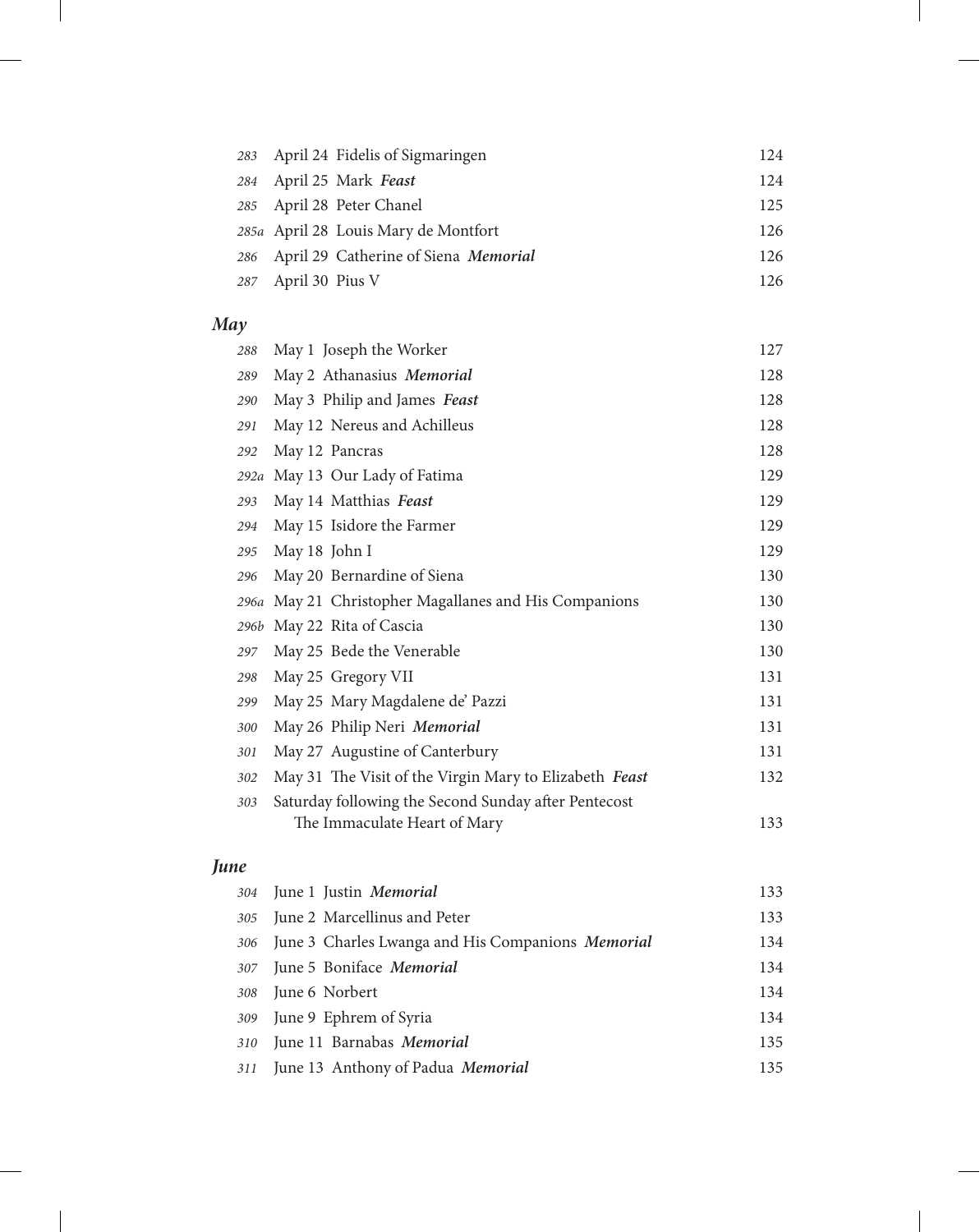|                     | 283 April 24 Fidelis of Sigmaringen      | 124 |
|---------------------|------------------------------------------|-----|
|                     | 284 April 25 Mark Feast                  | 124 |
|                     | 285 April 28 Peter Chanel                | 125 |
|                     | 285a April 28 Louis Mary de Montfort     | 126 |
|                     | 286 April 29 Catherine of Siena Memorial | 126 |
| 287 April 30 Pius V |                                          | 126 |

# *May*

| 288  | May 1 Joseph the Worker                                | 127 |
|------|--------------------------------------------------------|-----|
| 289  | May 2 Athanasius Memorial                              | 128 |
| 290  | May 3 Philip and James Feast                           | 128 |
| 291  | May 12 Nereus and Achilleus                            | 128 |
| 292  | May 12 Pancras                                         | 128 |
| 292a | May 13 Our Lady of Fatima                              | 129 |
| 293  | May 14 Matthias Feast                                  | 129 |
| 294  | May 15 Isidore the Farmer                              | 129 |
| 295  | May 18 John I                                          | 129 |
| 296  | May 20 Bernardine of Siena                             | 130 |
|      | 296a May 21 Christopher Magallanes and His Companions  | 130 |
| 296b | May 22 Rita of Cascia                                  | 130 |
| 297  | May 25 Bede the Venerable                              | 130 |
| 298  | May 25 Gregory VII                                     | 131 |
| 299  | May 25 Mary Magdalene de' Pazzi                        | 131 |
| 300  | May 26 Philip Neri Memorial                            | 131 |
| 301  | May 27 Augustine of Canterbury                         | 131 |
| 302  | May 31 The Visit of the Virgin Mary to Elizabeth Feast | 132 |
| 303  | Saturday following the Second Sunday after Pentecost   |     |
|      | The Immaculate Heart of Mary                           | 133 |

### *June*

|     | 304 June 1 Justin Memorial                            | 133 |
|-----|-------------------------------------------------------|-----|
|     | 305 June 2 Marcellinus and Peter                      | 133 |
|     | 306 June 3 Charles Lwanga and His Companions Memorial | 134 |
|     | 307 June 5 Boniface Memorial                          | 134 |
|     | 308 June 6 Norbert                                    | 134 |
|     | 309 June 9 Ephrem of Syria                            | 134 |
| 310 | June 11 Barnabas Memorial                             | 135 |
|     | 311 June 13 Anthony of Padua Memorial                 | 135 |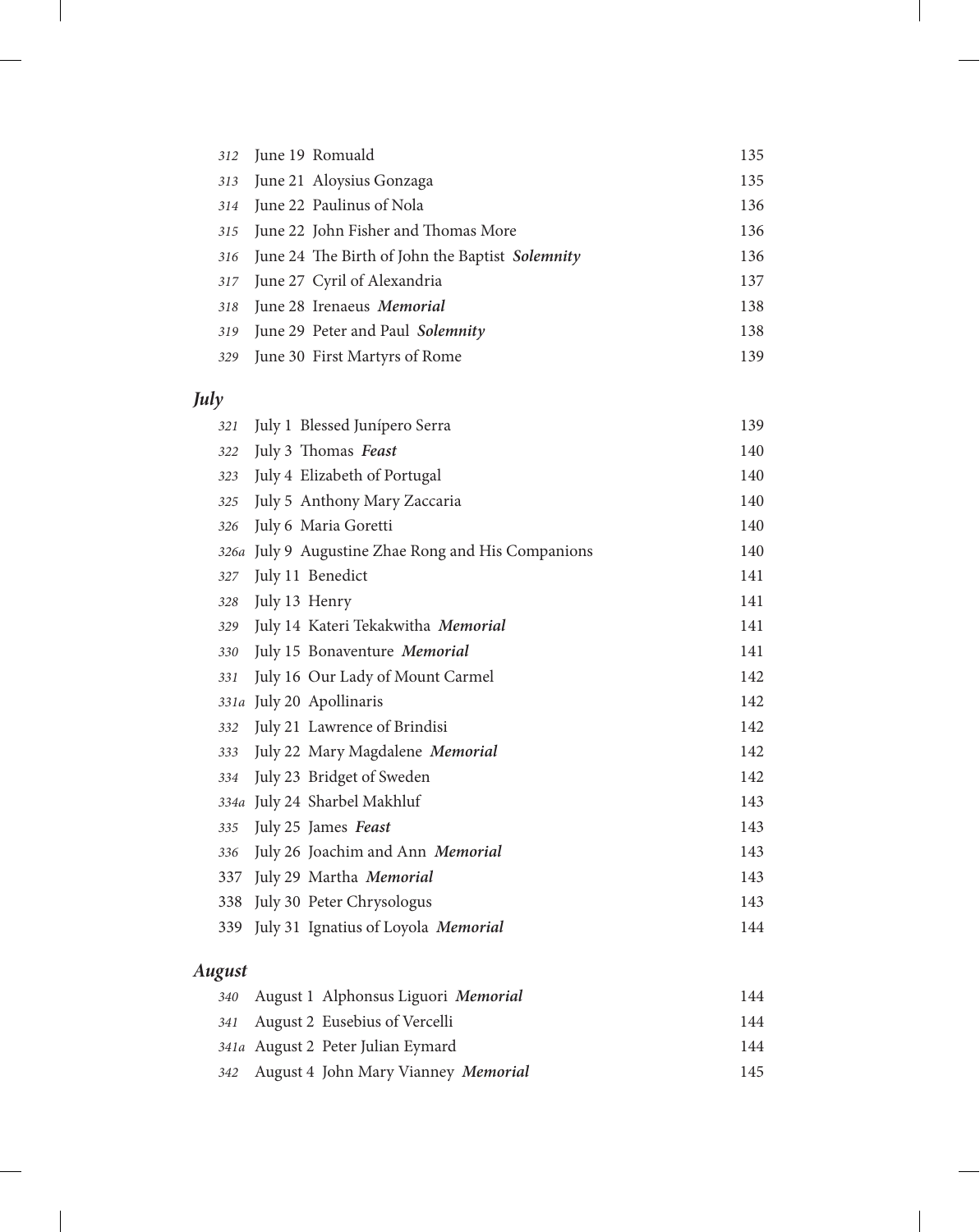|  | 312 June 19 Romuald                                 | 135 |
|--|-----------------------------------------------------|-----|
|  | 313 June 21 Aloysius Gonzaga                        | 135 |
|  | 314 June 22 Paulinus of Nola                        | 136 |
|  | 315 June 22 John Fisher and Thomas More             | 136 |
|  | 316 June 24 The Birth of John the Baptist Solemnity | 136 |
|  | 317 June 27 Cyril of Alexandria                     | 137 |
|  | 318 June 28 Irenaeus Memorial                       | 138 |
|  | 319 June 29 Peter and Paul Solemnity                | 138 |
|  | 329 June 30 First Martyrs of Rome                   | 139 |

# *July*

| 321  | July 1 Blessed Junípero Serra                 | 139 |
|------|-----------------------------------------------|-----|
| 322  | July 3 Thomas Feast                           | 140 |
| 323  | July 4 Elizabeth of Portugal                  | 140 |
| 325  | July 5 Anthony Mary Zaccaria                  | 140 |
| 326  | July 6 Maria Goretti                          | 140 |
| 326a | July 9 Augustine Zhae Rong and His Companions | 140 |
| 327  | July 11 Benedict                              | 141 |
| 328  | July 13 Henry                                 | 141 |
| 329  | July 14 Kateri Tekakwitha Memorial            | 141 |
| 330  | July 15 Bonaventure Memorial                  | 141 |
| 331  | July 16 Our Lady of Mount Carmel              | 142 |
| 331a | July 20 Apollinaris                           | 142 |
| 332  | July 21 Lawrence of Brindisi                  | 142 |
| 333  | July 22 Mary Magdalene Memorial               | 142 |
| 334  | July 23 Bridget of Sweden                     | 142 |
| 334a | July 24 Sharbel Makhluf                       | 143 |
| 335  | July 25 James Feast                           | 143 |
| 336  | July 26 Joachim and Ann Memorial              | 143 |
| 337  | July 29 Martha Memorial                       | 143 |
| 338  | July 30 Peter Chrysologus                     | 143 |
| 339  | July 31 Ignatius of Loyola Memorial           | 144 |

# *August*

|  | 340 August 1 Alphonsus Liguori Memorial | 144 |
|--|-----------------------------------------|-----|
|  | 341 August 2 Eusebius of Vercelli       | 144 |
|  | 341a August 2 Peter Julian Eymard       | 144 |
|  | 342 August 4 John Mary Vianney Memorial | 145 |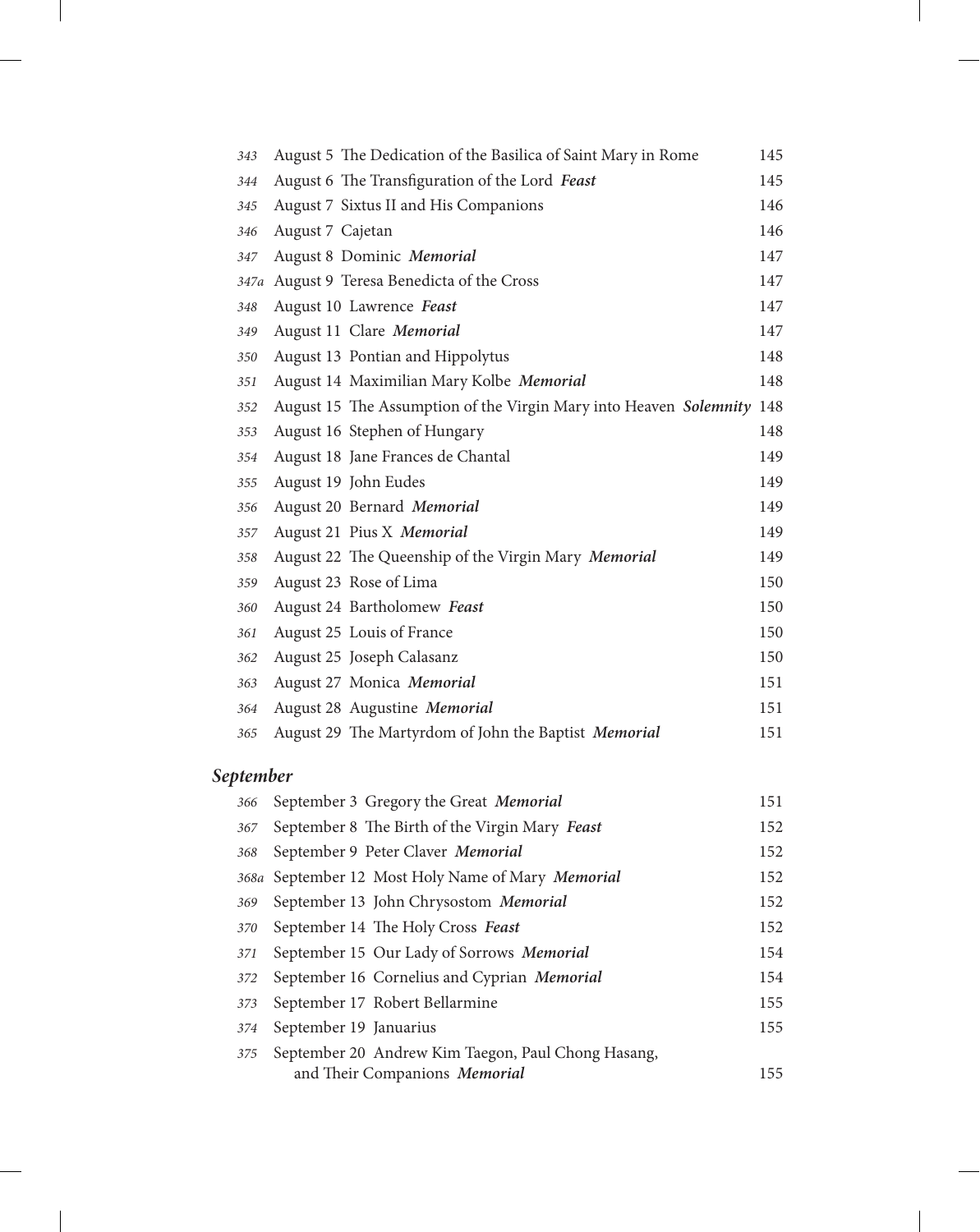| 343  | August 5 The Dedication of the Basilica of Saint Mary in Rome         | 145 |
|------|-----------------------------------------------------------------------|-----|
| 344  | August 6 The Transfiguration of the Lord Feast                        | 145 |
| 345  | August 7 Sixtus II and His Companions                                 | 146 |
| 346  | August 7 Cajetan                                                      | 146 |
| 347  | August 8 Dominic Memorial                                             | 147 |
| 347a | August 9 Teresa Benedicta of the Cross                                | 147 |
| 348  | August 10 Lawrence Feast                                              | 147 |
| 349  | August 11 Clare Memorial                                              | 147 |
| 350  | August 13 Pontian and Hippolytus                                      | 148 |
| 351  | August 14 Maximilian Mary Kolbe Memorial                              | 148 |
| 352  | August 15 The Assumption of the Virgin Mary into Heaven Solemnity 148 |     |
| 353  | August 16 Stephen of Hungary                                          | 148 |
| 354  | August 18 Jane Frances de Chantal                                     | 149 |
| 355  | August 19 John Eudes                                                  | 149 |
| 356  | August 20 Bernard Memorial                                            | 149 |
| 357  | August 21 Pius X Memorial                                             | 149 |
| 358  | August 22 The Queenship of the Virgin Mary Memorial                   | 149 |
| 359  | August 23 Rose of Lima                                                | 150 |
| 360  | August 24 Bartholomew Feast                                           | 150 |
| 361  | August 25 Louis of France                                             | 150 |
| 362  | August 25 Joseph Calasanz                                             | 150 |
| 363  | August 27 Monica Memorial                                             | 151 |
| 364  | August 28 Augustine Memorial                                          | 151 |
| 365  | August 29 The Martyrdom of John the Baptist Memorial                  | 151 |

# *September*

| 366 | September 3 Gregory the Great Memorial             | 151 |
|-----|----------------------------------------------------|-----|
| 367 | September 8 The Birth of the Virgin Mary Feast     | 152 |
| 368 | September 9 Peter Claver Memorial                  | 152 |
|     | 368a September 12 Most Holy Name of Mary Memorial  | 152 |
| 369 | September 13 John Chrysostom Memorial              | 152 |
| 370 | September 14 The Holy Cross Feast                  | 152 |
| 371 | September 15 Our Lady of Sorrows Memorial          | 154 |
| 372 | September 16 Cornelius and Cyprian Memorial        | 154 |
| 373 | September 17 Robert Bellarmine                     | 155 |
| 374 | September 19 Januarius                             | 155 |
| 375 | September 20 Andrew Kim Taegon, Paul Chong Hasang, |     |
|     | and Their Companions Memorial                      | 155 |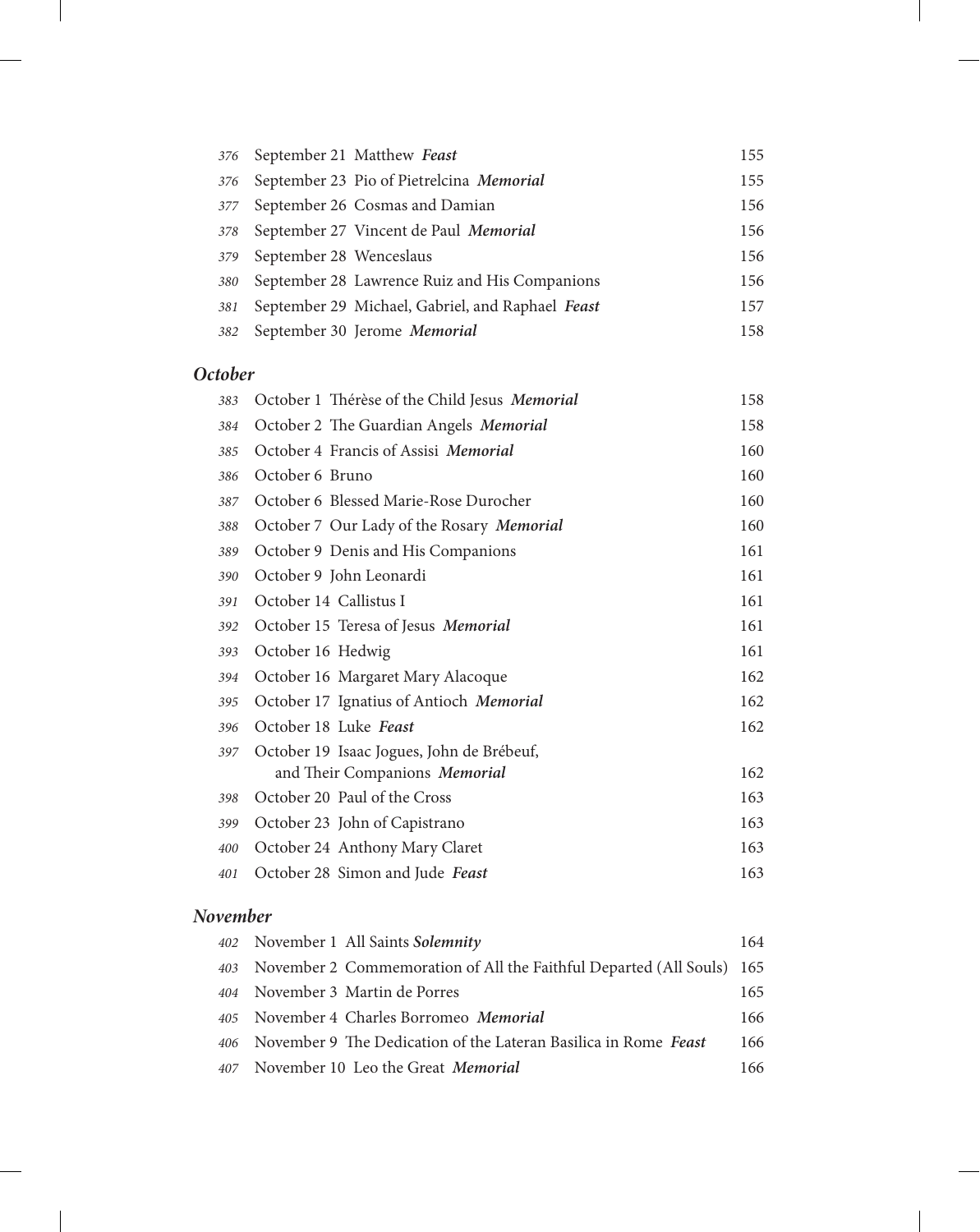|     |                         | 376 September 21 Matthew Feast                   | 155 |
|-----|-------------------------|--------------------------------------------------|-----|
| 376 |                         | September 23 Pio of Pietrelcina Memorial         | 155 |
| 377 |                         | September 26 Cosmas and Damian                   | 156 |
| 378 |                         | September 27 Vincent de Paul Memorial            | 156 |
| 379 | September 28 Wenceslaus |                                                  | 156 |
| 380 |                         | September 28 Lawrence Ruiz and His Companions    | 156 |
| 381 |                         | September 29 Michael, Gabriel, and Raphael Feast | 157 |
| 382 |                         | September 30 Jerome Memorial                     | 158 |

### *October*

| 383 | October 1 Thérèse of the Child Jesus Memorial | 158 |
|-----|-----------------------------------------------|-----|
| 384 | October 2 The Guardian Angels Memorial        | 158 |
| 385 | October 4 Francis of Assisi Memorial          | 160 |
| 386 | October 6 Bruno                               | 160 |
| 387 | October 6 Blessed Marie-Rose Durocher         | 160 |
| 388 | October 7 Our Lady of the Rosary Memorial     | 160 |
| 389 | October 9 Denis and His Companions            | 161 |
| 390 | October 9 John Leonardi                       | 161 |
| 391 | October 14 Callistus I                        | 161 |
| 392 | October 15 Teresa of Jesus Memorial           | 161 |
| 393 | October 16 Hedwig                             | 161 |
| 394 | October 16 Margaret Mary Alacoque             | 162 |
| 395 | October 17 Ignatius of Antioch Memorial       | 162 |
| 396 | October 18 Luke Feast                         | 162 |
| 397 | October 19 Isaac Jogues, John de Brébeuf,     |     |
|     | and Their Companions Memorial                 | 162 |
| 398 | October 20 Paul of the Cross                  | 163 |
| 399 | October 23 John of Capistrano                 | 163 |
| 400 | October 24 Anthony Mary Claret                | 163 |
| 401 | October 28 Simon and Jude Feast               | 163 |

### *November*

| 402 November 1 All Saints Solemnity                                       | 164 |
|---------------------------------------------------------------------------|-----|
| 403 November 2 Commemoration of All the Faithful Departed (All Souls) 165 |     |
| 404 November 3 Martin de Porres                                           | 165 |
| 405 November 4 Charles Borromeo Memorial                                  | 166 |
| 406 November 9 The Dedication of the Lateran Basilica in Rome Feast       | 166 |
| 407 November 10 Leo the Great <i>Memorial</i>                             | 166 |
|                                                                           |     |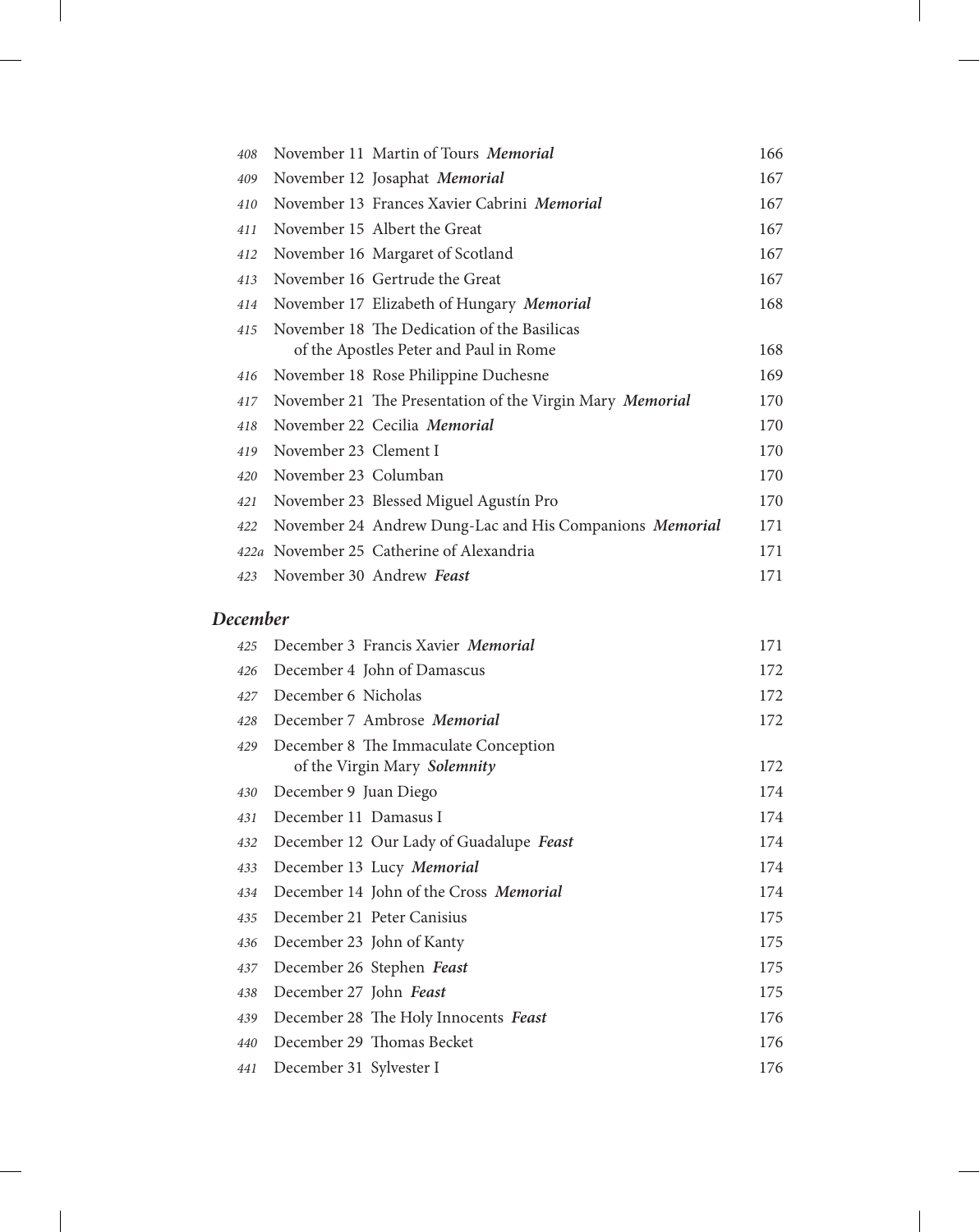| 408  |                       | November 11 Martin of Tours Memorial                     | 166 |
|------|-----------------------|----------------------------------------------------------|-----|
| 409  |                       | November 12 Josaphat Memorial                            | 167 |
| 410  |                       | November 13 Frances Xavier Cabrini Memorial              | 167 |
| 411  |                       | November 15 Albert the Great                             | 167 |
| 412  |                       | November 16 Margaret of Scotland                         | 167 |
| 413  |                       | November 16 Gertrude the Great                           | 167 |
| 414  |                       | November 17 Elizabeth of Hungary Memorial                | 168 |
| 415  |                       | November 18 The Dedication of the Basilicas              |     |
|      |                       | of the Apostles Peter and Paul in Rome                   | 168 |
| 416  |                       | November 18 Rose Philippine Duchesne                     | 169 |
| 417  |                       | November 21 The Presentation of the Virgin Mary Memorial | 170 |
| 418  |                       | November 22 Cecilia Memorial                             | 170 |
| 419  | November 23 Clement I |                                                          | 170 |
| 420  | November 23 Columban  |                                                          | 170 |
| 421  |                       | November 23 Blessed Miguel Agustín Pro                   | 170 |
| 422  |                       | November 24 Andrew Dung-Lac and His Companions Memorial  | 171 |
| 422a |                       | November 25 Catherine of Alexandria                      | 171 |
| 423  |                       | November 30 Andrew Feast                                 | 171 |

### *December*

| 425 | December 3 Francis Xavier Memorial      | 171 |
|-----|-----------------------------------------|-----|
| 426 | December 4 John of Damascus             | 172 |
| 427 | December 6 Nicholas                     | 172 |
| 428 | December 7 Ambrose Memorial             | 172 |
| 429 | December 8 The Immaculate Conception    |     |
|     | of the Virgin Mary Solemnity            | 172 |
| 430 | December 9 Juan Diego                   | 174 |
| 431 | December 11 Damasus I                   | 174 |
| 432 | December 12 Our Lady of Guadalupe Feast | 174 |
| 433 | December 13 Lucy Memorial               | 174 |
| 434 | December 14 John of the Cross Memorial  | 174 |
| 435 | December 21 Peter Canisius              | 175 |
| 436 | December 23 John of Kanty               | 175 |
| 437 | December 26 Stephen Feast               | 175 |
| 438 | December 27 John Feast                  | 175 |
| 439 | December 28 The Holy Innocents Feast    | 176 |
| 440 | December 29 Thomas Becket               | 176 |
| 441 | December 31 Sylvester I                 | 176 |